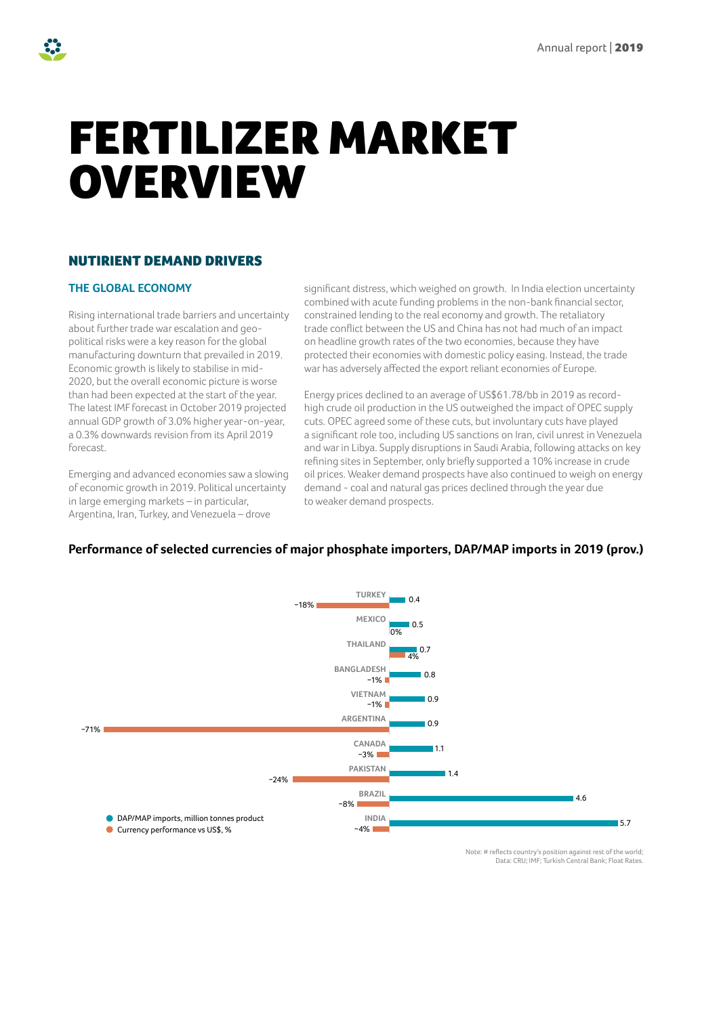# FERTILIZER MARKET OVERVIEW

# NUTIRIENT DEMAND DRIVERS

# **THE GLOBAL ECONOMY**

Rising international trade barriers and uncertainty about further trade war escalation and geopolitical risks were a key reason for the global manufacturing downturn that prevailed in 2019. Economic growth is likely to stabilise in mid-2020, but the overall economic picture is worse than had been expected at the start of the year. The latest IMF forecast in October 2019 projected annual GDP growth of 3.0% higher year-on-year, a 0.3% downwards revision from its April 2019 forecast.

Emerging and advanced economies saw a slowing of economic growth in 2019. Political uncertainty in large emerging markets – in particular, Argentina, Iran, Turkey, and Venezuela – drove

significant distress, which weighed on growth. In India election uncertainty combined with acute funding problems in the non-bank financial sector, constrained lending to the real economy and growth. The retaliatory trade conflict between the US and China has not had much of an impact on headline growth rates of the two economies, because they have protected their economies with domestic policy easing. Instead, the trade war has adversely affected the export reliant economies of Europe.

Energy prices declined to an average of US\$61.78/bb in 2019 as recordhigh crude oil production in the US outweighed the impact of OPEC supply cuts. OPEC agreed some of these cuts, but involuntary cuts have played a significant role too, including US sanctions on Iran, civil unrest in Venezuela and war in Libya. Supply disruptions in Saudi Arabia, following attacks on key refining sites in September, only briefly supported a 10% increase in crude oil prices. Weaker demand prospects have also continued to weigh on energy demand - coal and natural gas prices declined through the year due to weaker demand prospects.

# **Performance of selected currencies of major phosphate importers, DAP/MAP imports in 2019 (prov.)**



Note: # reflects country's position against rest of the world; Data: CRU; IMF; Turkish Central Bank; Float Rates.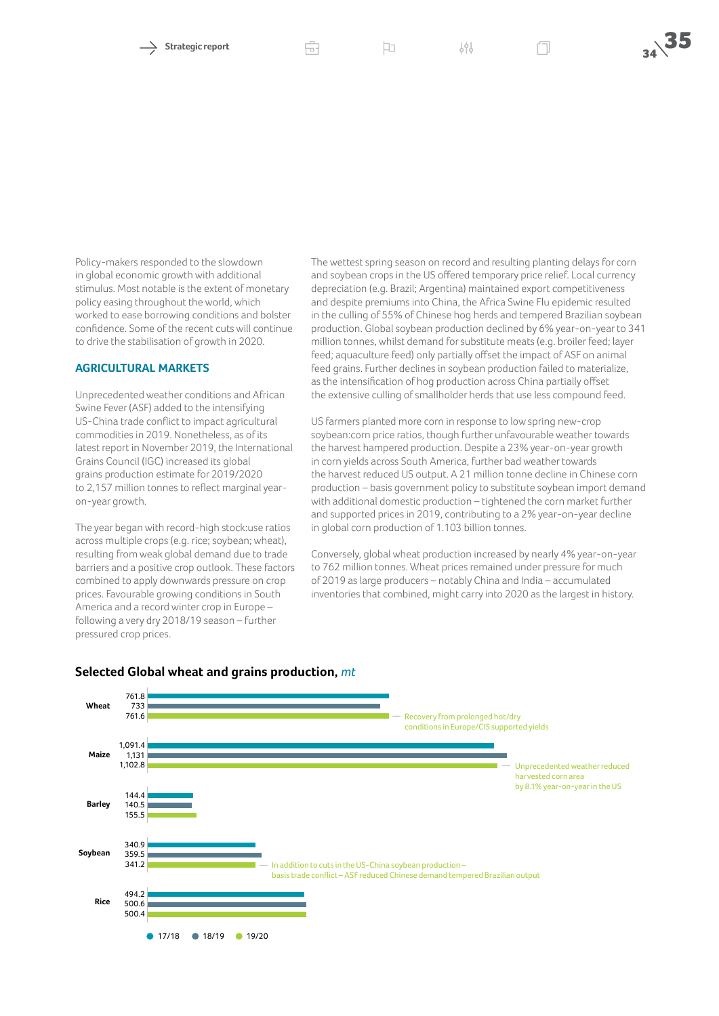Strategic report **Strategic report**  $\Box$ 

Policy-makers responded to the slowdown in global economic growth with additional stimulus. Most notable is the extent of monetary policy easing throughout the world, which worked to ease borrowing conditions and bolster confidence. Some of the recent cuts will continue to drive the stabilisation of growth in 2020.

#### **AGRICULTURAL MARKETS**

Unprecedented weather conditions and African Swine Fever (ASF) added to the intensifying US-China trade conflict to impact agricultural commodities in 2019. Nonetheless, as of its latest report in November 2019, the International Grains Council (IGC) increased its global grains production estimate for 2019/2020 to 2,157 million tonnes to reflect marginal yearon-year growth.

The year began with record-high stock:use ratios across multiple crops (e.g. rice; soybean; wheat), resulting from weak global demand due to trade barriers and a positive crop outlook. These factors combined to apply downwards pressure on crop prices. Favourable growing conditions in South America and a record winter crop in Europe – following a very dry 2018/19 season – further pressured crop prices.

The wettest spring season on record and resulting planting delays for corn and soybean crops in the US offered temporary price relief. Local currency depreciation (e.g. Brazil; Argentina) maintained export competitiveness and despite premiums into China, the Africa Swine Flu epidemic resulted in the culling of 55% of Chinese hog herds and tempered Brazilian soybean production. Global soybean production declined by 6% year-on-year to 341 million tonnes, whilst demand for substitute meats (e.g. broiler feed; layer feed; aquaculture feed) only partially offset the impact of ASF on animal feed grains. Further declines in soybean production failed to materialize, as the intensification of hog production across China partially offset the extensive culling of smallholder herds that use less compound feed.

US farmers planted more corn in response to low spring new-crop soybean:corn price ratios, though further unfavourable weather towards the harvest hampered production. Despite a 23% year-on-year growth in corn yields across South America, further bad weather towards the harvest reduced US output. A 21 million tonne decline in Chinese corn production – basis government policy to substitute soybean import demand with additional domestic production – tightened the corn market further and supported prices in 2019, contributing to a 2% year-on-year decline in global corn production of 1.103 billion tonnes.

Conversely, global wheat production increased by nearly 4% year-on-year to 762 million tonnes. Wheat prices remained under pressure for much of 2019 as large producers – notably China and India – accumulated inventories that combined, might carry into 2020 as the largest in history.



## **Selected Global wheat and grains production,** *mt*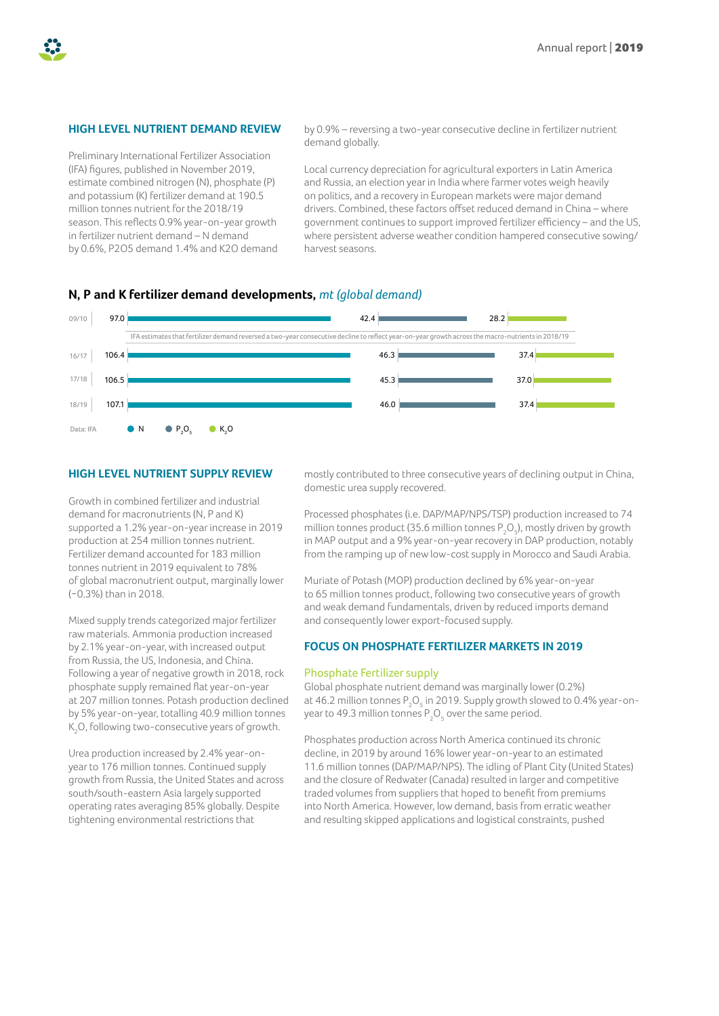

# **HIGH LEVEL NUTRIENT DEMAND REVIEW**

Preliminary International Fertilizer Association (IFA) figures, published in November 2019, estimate combined nitrogen (N), phosphate (P) and potassium (K) fertilizer demand at 190.5 million tonnes nutrient for the 2018/19 season. This reflects 0.9% year-on-year growth in fertilizer nutrient demand – N demand by 0.6%, P2O5 demand 1.4% and K2O demand by 0.9% – reversing a two-year consecutive decline in fertilizer nutrient demand globally.

Local currency depreciation for agricultural exporters in Latin America and Russia, an election year in India where farmer votes weigh heavily on politics, and a recovery in European markets were major demand drivers. Combined, these factors offset reduced demand in China – where government continues to support improved fertilizer efficiency – and the US, where persistent adverse weather condition hampered consecutive sowing/ harvest seasons.

# **N, P and K fertilizer demand developments,** *mt (global demand)*



## **HIGH LEVEL NUTRIENT SUPPLY REVIEW**

Growth in combined fertilizer and industrial demand for macronutrients (N, P and K) supported a 1.2% year-on-year increase in 2019 production at 254 million tonnes nutrient. Fertilizer demand accounted for 183 million tonnes nutrient in 2019 equivalent to 78% of global macronutrient output, marginally lower (−0.3%) than in 2018.

Mixed supply trends categorized major fertilizer raw materials. Ammonia production increased by 2.1% year-on-year, with increased output from Russia, the US, Indonesia, and China. Following a year of negative growth in 2018, rock phosphate supply remained flat year-on-year at 207 million tonnes. Potash production declined by 5% year-on-year, totalling 40.9 million tonnes  $\mathsf{K}_2\mathsf{O}$ , following two-consecutive years of growth.

Urea production increased by 2.4% year-onyear to 176 million tonnes. Continued supply growth from Russia, the United States and across south/south-eastern Asia largely supported operating rates averaging 85% globally. Despite tightening environmental restrictions that

mostly contributed to three consecutive years of declining output in China, domestic urea supply recovered.

Processed phosphates (i.e. DAP/MAP/NPS/TSP) production increased to 74 million tonnes product (35.6 million tonnes  $P_2O_5$ ), mostly driven by growth in MAP output and a 9% year-on-year recovery in DAP production, notably from the ramping up of new low-cost supply in Morocco and Saudi Arabia.

Muriate of Potash (MOP) production declined by 6% year-on-year to 65 million tonnes product, following two consecutive years of growth and weak demand fundamentals, driven by reduced imports demand and consequently lower export-focused supply.

## **FOCUS ON PHOSPHATE FERTILIZER MARKETS IN 2019**

#### Phosphate Fertilizer supply

Global phosphate nutrient demand was marginally lower (0.2%) at 46.2 million tonnes  $\mathsf{P}_\mathsf{2}\mathsf{O}_\mathsf{5}$  in 2019. Supply growth slowed to 0.4% year-onyear to 49.3 million tonnes  $\mathsf{P}_\mathsf{2}\mathsf{O}_\mathsf{5}$  over the same period.

Phosphates production across North America continued its chronic decline, in 2019 by around 16% lower year-on-year to an estimated 11.6 million tonnes (DAP/MAP/NPS). The idling of Plant City (United States) and the closure of Redwater (Canada) resulted in larger and competitive traded volumes from suppliers that hoped to benefit from premiums into North America. However, low demand, basis from erratic weather and resulting skipped applications and logistical constraints, pushed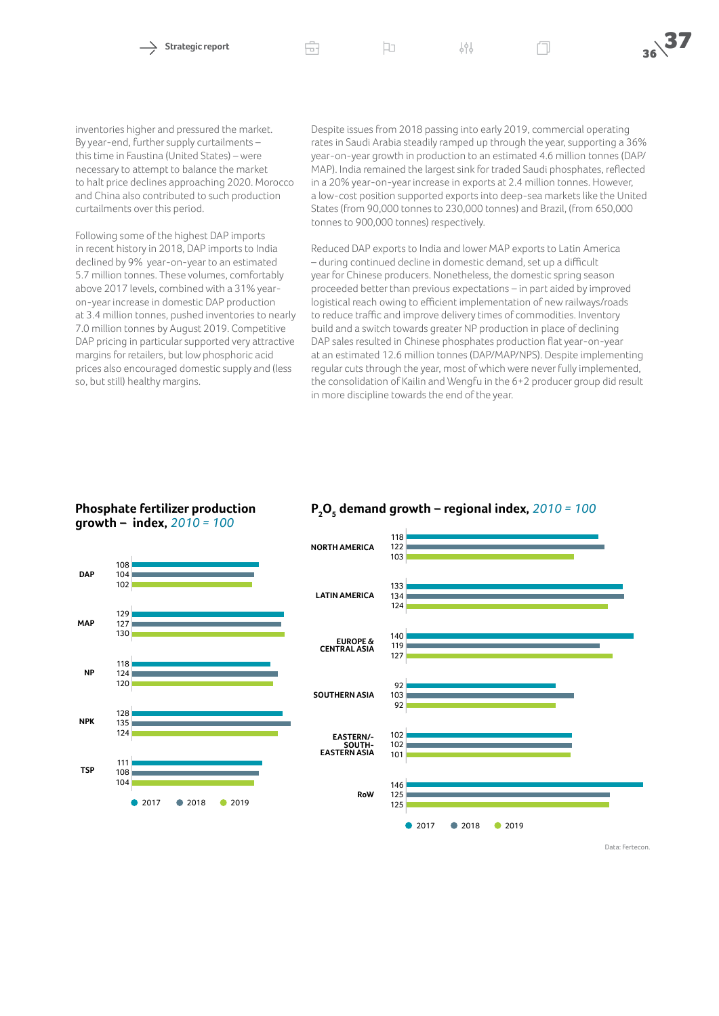inventories higher and pressured the market. By year-end, further supply curtailments – this time in Faustina (United States) – were necessary to attempt to balance the market to halt price declines approaching 2020. Morocco and China also contributed to such production curtailments over this period.

Following some of the highest DAP imports in recent history in 2018, DAP imports to India declined by 9% year-on-year to an estimated 5.7 million tonnes. These volumes, comfortably above 2017 levels, combined with a 31% yearon-year increase in domestic DAP production at 3.4 million tonnes, pushed inventories to nearly 7.0 million tonnes by August 2019. Competitive DAP pricing in particular supported very attractive margins for retailers, but low phosphoric acid prices also encouraged domestic supply and (less so, but still) healthy margins.

Despite issues from 2018 passing into early 2019, commercial operating rates in Saudi Arabia steadily ramped up through the year, supporting a 36% year-on-year growth in production to an estimated 4.6 million tonnes (DAP/ MAP). India remained the largest sink for traded Saudi phosphates, reflected in a 20% year-on-year increase in exports at 2.4 million tonnes. However, a low-cost position supported exports into deep-sea markets like the United States (from 90,000 tonnes to 230,000 tonnes) and Brazil, (from 650,000 tonnes to 900,000 tonnes) respectively.

Reduced DAP exports to India and lower MAP exports to Latin America – during continued decline in domestic demand, set up a difficult year for Chinese producers. Nonetheless, the domestic spring season proceeded better than previous expectations – in part aided by improved logistical reach owing to efficient implementation of new railways/roads to reduce traffic and improve delivery times of commodities. Inventory build and a switch towards greater NP production in place of declining DAP sales resulted in Chinese phosphates production flat year-on-year at an estimated 12.6 million tonnes (DAP/MAP/NPS). Despite implementing regular cuts through the year, most of which were never fully implemented, the consolidation of Kailin and Wengfu in the 6+2 producer group did result in more discipline towards the end of the year.

## **Phosphate fertilizer production growth – index,** *2010 = 100*



# **P2 O5 demand growth – regional index,** *2010 = 100*



Data: Fertecon.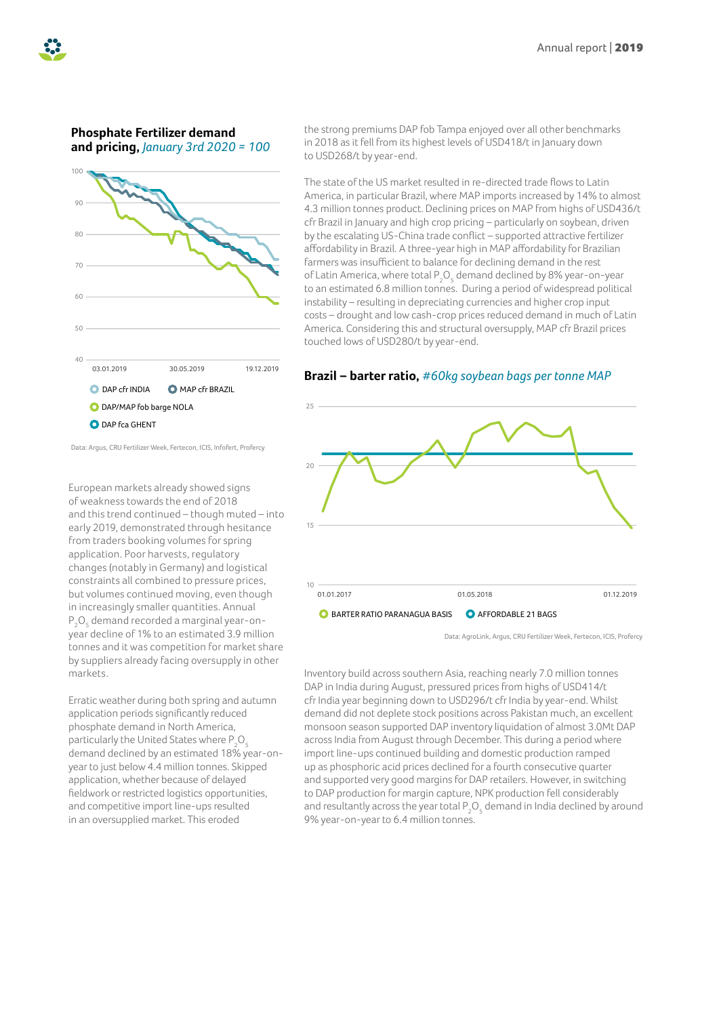

# **Phosphate Fertilizer demand and pricing,** *January 3rd 2020 = 100*



Data: Argus, CRU Fertilizer Week, Fertecon, ICIS, Infofert, Profercy

European markets already showed signs of weakness towards the end of 2018 and this trend continued – though muted – into early 2019, demonstrated through hesitance from traders booking volumes for spring application. Poor harvests, regulatory changes (notably in Germany) and logistical constraints all combined to pressure prices, but volumes continued moving, even though in increasingly smaller quantities. Annual  $\mathsf{P}_\mathsf{2}\mathsf{O}_\mathsf{5}$  demand recorded a marginal year-onyear decline of 1% to an estimated 3.9 million tonnes and it was competition for market share by suppliers already facing oversupply in other markets.

Erratic weather during both spring and autumn application periods significantly reduced phosphate demand in North America, particularly the United States where  $\mathsf{P}_\mathsf{2}\mathsf{O}_\mathsf{5}$ demand declined by an estimated 18% year-onyear to just below 4.4 million tonnes. Skipped application, whether because of delayed fieldwork or restricted logistics opportunities, and competitive import line-ups resulted in an oversupplied market. This eroded

the strong premiums DAP fob Tampa enjoyed over all other benchmarks in 2018 as it fell from its highest levels of USD418/t in January down to USD268/t by year-end.

The state of the US market resulted in re-directed trade flows to Latin America, in particular Brazil, where MAP imports increased by 14% to almost 4.3 million tonnes product. Declining prices on MAP from highs of USD436/t cfr Brazil in January and high crop pricing – particularly on soybean, driven by the escalating US-China trade conflict – supported attractive fertilizer affordability in Brazil. A three-year high in MAP affordability for Brazilian farmers was insufficient to balance for declining demand in the rest of Latin America, where total  $\mathsf{P}_2\mathsf{O}_5$  demand declined by 8% year-on-year to an estimated 6.8 million tonnes. During a period of widespread political instability – resulting in depreciating currencies and higher crop input costs – drought and low cash-crop prices reduced demand in much of Latin America. Considering this and structural oversupply, MAP cfr Brazil prices touched lows of USD280/t by year-end.

## **Brazil – barter ratio,** *#60kg soybean bags per tonne MAP*



Data: AgroLink, Argus, CRU Fertilizer Week, Fertecon, ICIS, Profercy

Inventory build across southern Asia, reaching nearly 7.0 million tonnes DAP in India during August, pressured prices from highs of USD414/t cfr India year beginning down to USD296/t cfr India by year-end. Whilst demand did not deplete stock positions across Pakistan much, an excellent monsoon season supported DAP inventory liquidation of almost 3.0Mt DAP across India from August through December. This during a period where import line-ups continued building and domestic production ramped up as phosphoric acid prices declined for a fourth consecutive quarter and supported very good margins for DAP retailers. However, in switching to DAP production for margin capture, NPK production fell considerably and resultantly across the year total  $\mathsf{P}_\mathsf{2}\mathsf{O}_\mathsf{5}$  demand in India declined by around 9% year-on-year to 6.4 million tonnes.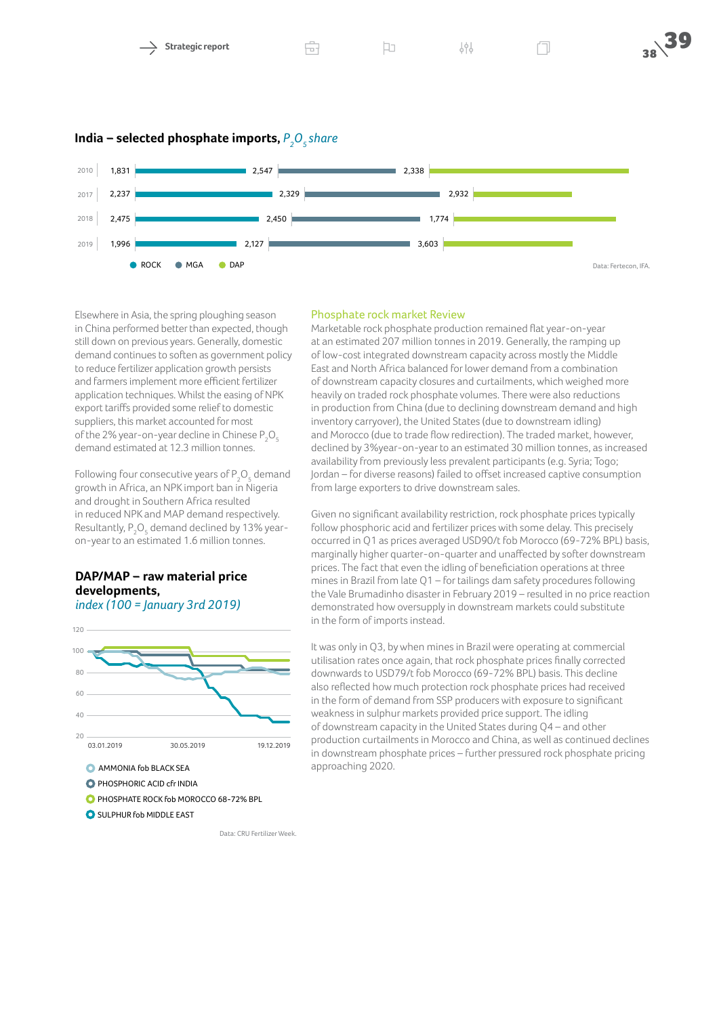

**India – selected phosphate imports,**  $P_{_{2}}O_{_{5}}$ share



Elsewhere in Asia, the spring ploughing season in China performed better than expected, though still down on previous years. Generally, domestic demand continues to soften as government policy to reduce fertilizer application growth persists and farmers implement more efficient fertilizer application techniques. Whilst the easing of NPK export tariffs provided some relief to domestic suppliers, this market accounted for most of the 2% year-on-year decline in Chinese  $\mathsf{P}_\mathsf{2}\mathsf{O}_\mathsf{5}$ demand estimated at 12.3 million tonnes.

Following four consecutive years of  $\mathsf{P}_\mathsf{2}\mathsf{O}_\mathsf{5}$  demand growth in Africa, an NPK import ban in Nigeria and drought in Southern Africa resulted in reduced NPK and MAP demand respectively. Resultantly,  $\mathsf{P}_\mathsf{2}\mathsf{O}_\mathsf{5}$  demand declined by 13% yearon-year to an estimated 1.6 million tonnes.

# **DAP/MAP – raw material price developments,**

*index (100 = January 3rd 2019)*



## Phosphate rock market Review

Marketable rock phosphate production remained flat year-on-year at an estimated 207 million tonnes in 2019. Generally, the ramping up of low-cost integrated downstream capacity across mostly the Middle East and North Africa balanced for lower demand from a combination of downstream capacity closures and curtailments, which weighed more heavily on traded rock phosphate volumes. There were also reductions in production from China (due to declining downstream demand and high inventory carryover), the United States (due to downstream idling) and Morocco (due to trade flow redirection). The traded market, however, declined by 3%year-on-year to an estimated 30 million tonnes, as increased availability from previously less prevalent participants (e.g. Syria; Togo; Jordan – for diverse reasons) failed to offset increased captive consumption from large exporters to drive downstream sales.

Given no significant availability restriction, rock phosphate prices typically follow phosphoric acid and fertilizer prices with some delay. This precisely occurred in Q1 as prices averaged USD90/t fob Morocco (69-72% BPL) basis, marginally higher quarter-on-quarter and unaffected by softer downstream prices. The fact that even the idling of beneficiation operations at three mines in Brazil from late Q1 – for tailings dam safety procedures following the Vale Brumadinho disaster in February 2019 – resulted in no price reaction demonstrated how oversupply in downstream markets could substitute in the form of imports instead.

It was only in Q3, by when mines in Brazil were operating at commercial utilisation rates once again, that rock phosphate prices finally corrected downwards to USD79/t fob Morocco (69-72% BPL) basis. This decline also reflected how much protection rock phosphate prices had received in the form of demand from SSP producers with exposure to significant weakness in sulphur markets provided price support. The idling of downstream capacity in the United States during Q4 – and other production curtailments in Morocco and China, as well as continued declines in downstream phosphate prices – further pressured rock phosphate pricing approaching 2020.

Data: CRU Fertilizer Week.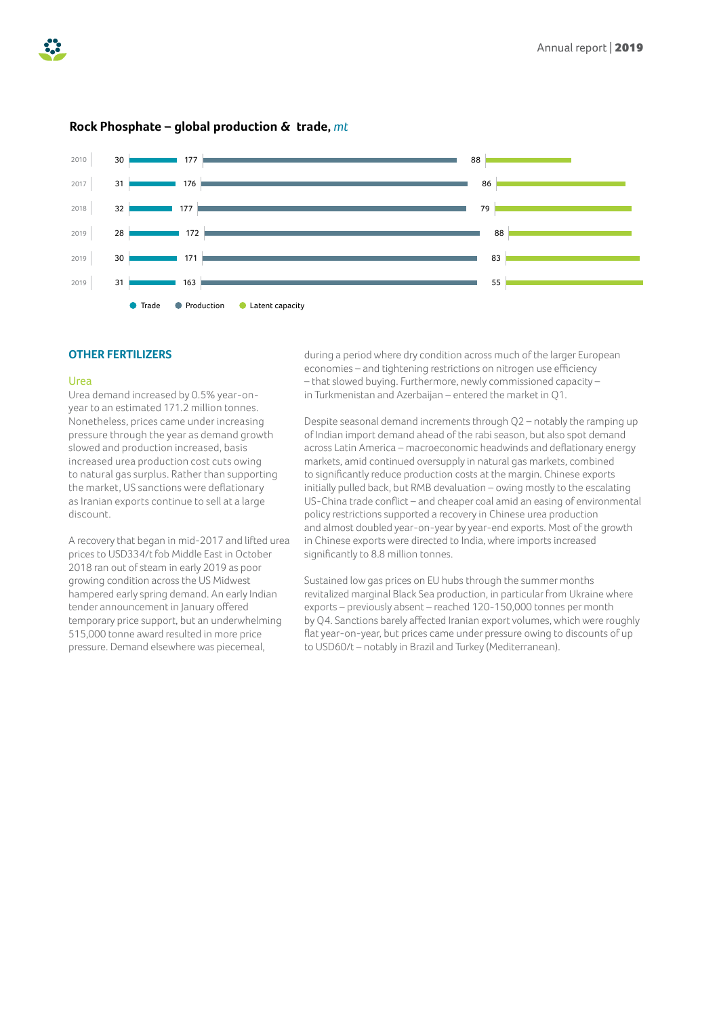



# **Rock Phosphate – global production & trade,** *mt*

## **OTHER FERTILIZERS**

#### Urea

Urea demand increased by 0.5% year-onyear to an estimated 171.2 million tonnes. Nonetheless, prices came under increasing pressure through the year as demand growth slowed and production increased, basis increased urea production cost cuts owing to natural gas surplus. Rather than supporting the market, US sanctions were deflationary as Iranian exports continue to sell at a large discount.

A recovery that began in mid-2017 and lifted urea prices to USD334/t fob Middle East in October 2018 ran out of steam in early 2019 as poor growing condition across the US Midwest hampered early spring demand. An early Indian tender announcement in January offered temporary price support, but an underwhelming 515,000 tonne award resulted in more price pressure. Demand elsewhere was piecemeal,

during a period where dry condition across much of the larger European economies – and tightening restrictions on nitrogen use efficiency – that slowed buying. Furthermore, newly commissioned capacity – in Turkmenistan and Azerbaijan – entered the market in Q1.

Despite seasonal demand increments through Q2 – notably the ramping up of Indian import demand ahead of the rabi season, but also spot demand across Latin America – macroeconomic headwinds and deflationary energy markets, amid continued oversupply in natural gas markets, combined to significantly reduce production costs at the margin. Chinese exports initially pulled back, but RMB devaluation – owing mostly to the escalating US-China trade conflict – and cheaper coal amid an easing of environmental policy restrictions supported a recovery in Chinese urea production and almost doubled year-on-year by year-end exports. Most of the growth in Chinese exports were directed to India, where imports increased significantly to 8.8 million tonnes.

Sustained low gas prices on EU hubs through the summer months revitalized marginal Black Sea production, in particular from Ukraine where exports – previously absent – reached 120-150,000 tonnes per month by Q4. Sanctions barely affected Iranian export volumes, which were roughly flat year-on-year, but prices came under pressure owing to discounts of up to USD60/t – notably in Brazil and Turkey (Mediterranean).